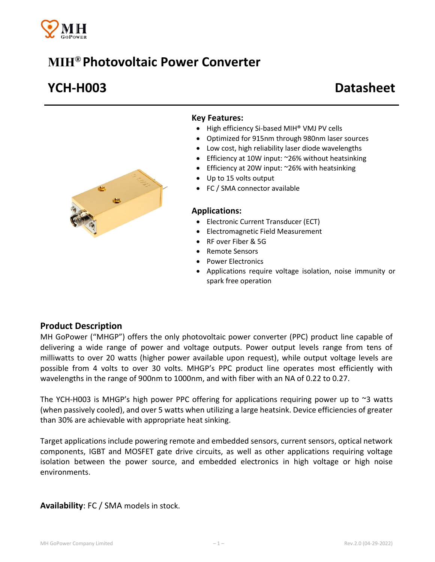

# **MIH® Photovoltaic Power Converter**

# **YCH-H003 Datasheet**



#### **Key Features:**

- High efficiency Si-based MIH<sup>®</sup> VMJ PV cells
- Optimized for 915nm through 980nm laser sources
- Low cost, high reliability laser diode wavelengths
- Efficiency at 10W input: ~26% without heatsinking
- Efficiency at 20W input: ~26% with heatsinking
- Up to 15 volts output
- FC / SMA connector available

#### **Applications:**

- Electronic Current Transducer (ECT)
- Electromagnetic Field Measurement
- RF over Fiber & 5G
- Remote Sensors
- Power Electronics
- Applications require voltage isolation, noise immunity or spark free operation

### **Product Description**

MH GoPower ("MHGP") offers the only photovoltaic power converter (PPC) product line capable of delivering a wide range of power and voltage outputs. Power output levels range from tens of milliwatts to over 20 watts (higher power available upon request), while output voltage levels are possible from 4 volts to over 30 volts. MHGP's PPC product line operates most efficiently with wavelengths in the range of 900nm to 1000nm, and with fiber with an NA of 0.22 to 0.27.

The YCH-H003 is MHGP's high power PPC offering for applications requiring power up to  $\sim$ 3 watts (when passively cooled), and over 5 watts when utilizing a large heatsink. Device efficiencies of greater than 30% are achievable with appropriate heat sinking.

Target applications include powering remote and embedded sensors, current sensors, optical network components, IGBT and MOSFET gate drive circuits, as well as other applications requiring voltage isolation between the power source, and embedded electronics in high voltage or high noise environments.

**Availability**: FC / SMA models in stock.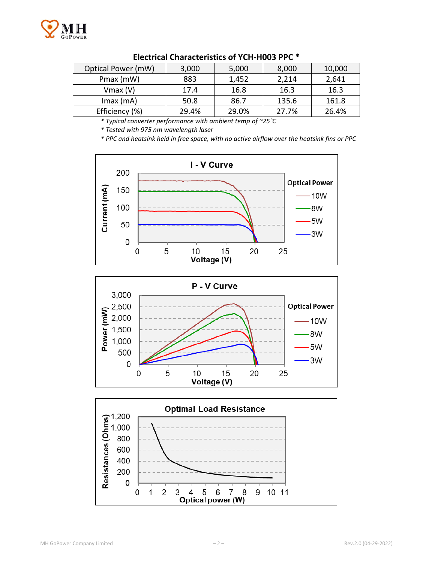

| Optical Power (mW) | 3,000 | 5,000 | 8,000 | 10,000 |
|--------------------|-------|-------|-------|--------|
| Pmax (mW)          | 883   | 1,452 | 2,214 | 2,641  |
| $V$ max $(V)$      | 17.4  | 16.8  | 16.3  | 16.3   |
| $Imax$ (mA)        | 50.8  | 86.7  | 135.6 | 161.8  |
| Efficiency (%)     | 29.4% | 29.0% | 27.7% | 26.4%  |

#### **Electrical Characteristics of YCH-H003 PPC \***

*\* Typical converter performance with ambient temp of ~25°C*

*\* Tested with 975 nm wavelength laser*

*\* PPC and heatsink held in free space, with no active airflow over the heatsink fins or PPC*





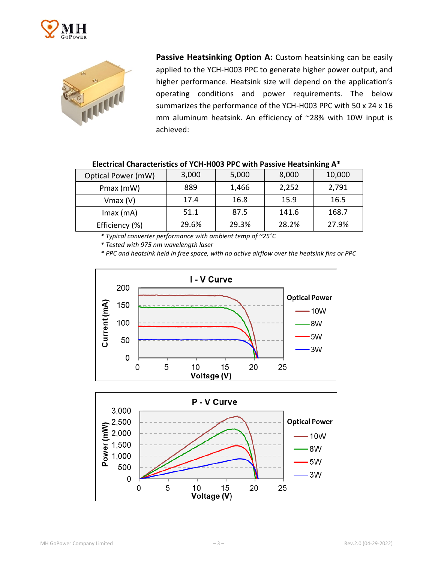



**Passive Heatsinking Option A:** Custom heatsinking can be easily applied to the YCH-H003 PPC to generate higher power output, and higher performance. Heatsink size will depend on the application's operating conditions and power requirements. The below summarizes the performance of the YCH-H003 PPC with 50 x 24 x 16 mm aluminum heatsink. An efficiency of ~28% with 10W input is achieved:

| Optical Power (mW) | 3,000 | 5,000 | 8,000 | 10,000 |
|--------------------|-------|-------|-------|--------|
| Pmax (mW)          | 889   | 1,466 | 2,252 | 2,791  |
| $V$ max $(V)$      | 17.4  | 16.8  | 15.9  | 16.5   |
| $Imax$ (mA)        | 51.1  | 87.5  | 141.6 | 168.7  |
| Efficiency (%)     | 29.6% | 29.3% | 28.2% | 27.9%  |

| Electrical Characteristics of YCH-H003 PPC with Passive Heatsinking A* |  |  |
|------------------------------------------------------------------------|--|--|
|------------------------------------------------------------------------|--|--|

*\* Typical converter performance with ambient temp of ~25°C*

*\* Tested with 975 nm wavelength laser*

*\* PPC and heatsink held in free space, with no active airflow over the heatsink fins or PPC*



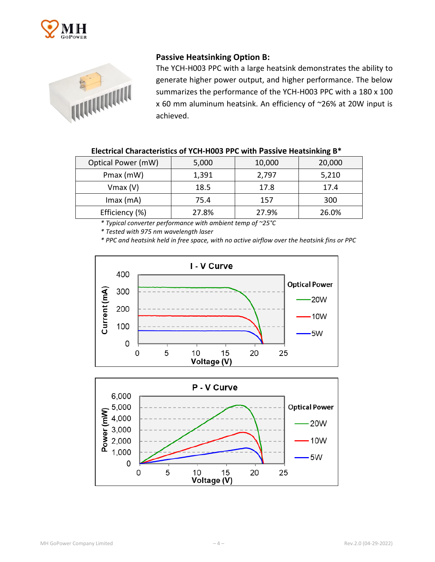



## **Passive Heatsinking Option B:**

The YCH-H003 PPC with a large heatsink demonstrates the ability to generate higher power output, and higher performance. The below summarizes the performance of the YCH-H003 PPC with a 180 x 100 x 60 mm aluminum heatsink. An efficiency of ~26% at 20W input is achieved.

| Optical Power (mW) | 5,000 | 10,000 | 20,000 |
|--------------------|-------|--------|--------|
| Pmax (mW)          | 1,391 | 2,797  | 5,210  |
| $V$ max $(V)$      | 18.5  | 17.8   | 17.4   |
| $Imax$ (mA)        | 75.4  | 157    | 300    |
| Efficiency (%)     | 27.8% | 27.9%  | 26.0%  |

*\* Typical converter performance with ambient temp of ~25°C*

*\* Tested with 975 nm wavelength laser*

*\* PPC and heatsink held in free space, with no active airflow over the heatsink fins or PPC*